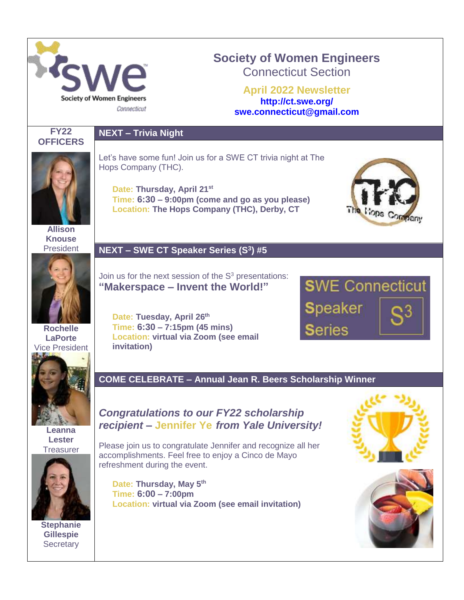

# **Society of Women Engineers** Connecticut Section

**April 2022 Newsletter <http://ct.swe.org/> swe.connecticut@gmail.com**



# **NEXT – Trivia Night**



Let's have some fun! Join us for a SWE CT trivia night at The Hops Company (THC).

**Date: Thursday, April 21st Time: 6:30 – 9:00pm (come and go as you please) Location: The Hops Company (THC), Derby, CT**



**Allison Knouse** President

**Rochelle LaPorte** Vice President

> **Leanna Lester Treasurer**

**Stephanie Gillespie Secretary** 

## **NEXT – SWE CT Speaker Series (S<sup>3</sup> ) #5**

Join us for the next session of the  $S<sup>3</sup>$  presentations: **"Makerspace – Invent the World!"**

**Date: Tuesday, April 26th Time: 6:30 – 7:15pm (45 mins) Location: virtual via Zoom (see email invitation)**



**COME CELEBRATE – Annual Jean R. Beers Scholarship Winner**

# *Congratulations to our FY22 scholarship recipient –* **Jennifer Ye** *from Yale University!*

Please join us to congratulate Jennifer and recognize all her accomplishments. Feel free to enjoy a Cinco de Mayo refreshment during the event.

**Date: Thursday, May 5th Time: 6:00 – 7:00pm Location: virtual via Zoom (see email invitation)**



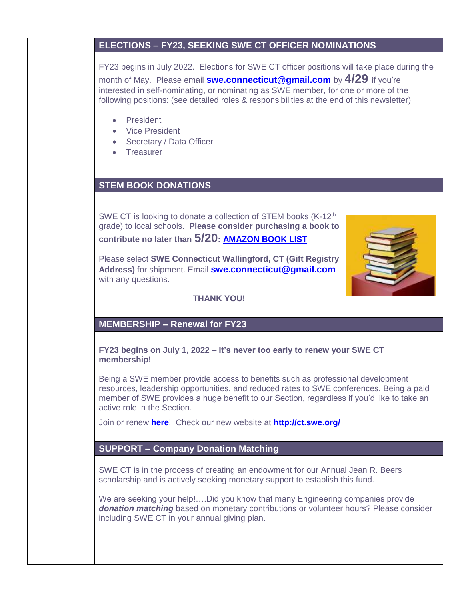## **ELECTIONS – FY23, SEEKING SWE CT OFFICER NOMINATIONS**

FY23 begins in July 2022. Elections for SWE CT officer positions will take place during the month of May. Please email **[swe.connecticut@gmail.com](mailto:swe.connecticut@gmail.com)** by **4/29** if you're interested in self-nominating, or nominating as SWE member, for one or more of the following positions: (see detailed roles & responsibilities at the end of this newsletter)

- **•** President
- Vice President
- Secretary / Data Officer
- Treasurer

# **STEM BOOK DONATIONS**

SWE CT is looking to donate a collection of STEM books (K-12<sup>th</sup> grade) to local schools. **Please consider purchasing a book to contribute no later than 5/20: [AMAZON BOOK LIST](https://www.amazon.com/hz/wishlist/ls/76SCRF3DV8S9?ref_=wl_share)**

Please select **SWE Connecticut Wallingford, CT (Gift Registry Address)** for shipment. Email **[swe.connecticut@gmail.com](mailto:swe.connecticut@gmail.com)** with any questions.



**THANK YOU!**

# **MEMBERSHIP – Renewal for FY23**

### **FY23 begins on July 1, 2022 – It's never too early to renew your SWE CT membership!**

Being a SWE member provide access to benefits such as professional development resources, leadership opportunities, and reduced rates to SWE conferences. Being a paid member of SWE provides a huge benefit to our Section, regardless if you'd like to take an active role in the Section.

Join or renew **[here](http://societyofwomenengineers.swe.org/membership)**! Check our new website at **<http://ct.swe.org/>**

### **SUPPORT – Company Donation Matching**

SWE CT is in the process of creating an endowment for our Annual Jean R. Beers scholarship and is actively seeking monetary support to establish this fund.

We are seeking your help!....Did you know that many Engineering companies provide *donation matching* based on monetary contributions or volunteer hours? Please consider including SWE CT in your annual giving plan.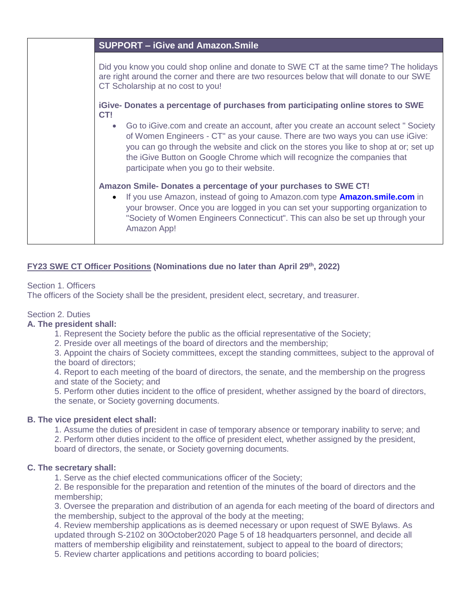| <b>SUPPORT - iGive and Amazon. Smile</b>                                                                                                                                                                                                                                                                                                                                                            |
|-----------------------------------------------------------------------------------------------------------------------------------------------------------------------------------------------------------------------------------------------------------------------------------------------------------------------------------------------------------------------------------------------------|
| Did you know you could shop online and donate to SWE CT at the same time? The holidays<br>are right around the corner and there are two resources below that will donate to our SWE<br>CT Scholarship at no cost to you!                                                                                                                                                                            |
| iGive- Donates a percentage of purchases from participating online stores to SWE<br>CT!                                                                                                                                                                                                                                                                                                             |
| Go to iGive.com and create an account, after you create an account select "Society<br>$\bullet$<br>of Women Engineers - CT" as your cause. There are two ways you can use iGive:<br>you can go through the website and click on the stores you like to shop at or; set up<br>the iGive Button on Google Chrome which will recognize the companies that<br>participate when you go to their website. |
| Amazon Smile-Donates a percentage of your purchases to SWE CT!<br>If you use Amazon, instead of going to Amazon.com type <b>Amazon.smile.com</b> in<br>$\bullet$<br>your browser. Once you are logged in you can set your supporting organization to<br>"Society of Women Engineers Connecticut". This can also be set up through your<br>Amazon App!                                               |

### **FY23 SWE CT Officer Positions (Nominations due no later than April 29th, 2022)**

### Section 1. Officers

The officers of the Society shall be the president, president elect, secretary, and treasurer.

### Section 2. Duties

#### **A. The president shall:**

- 1. Represent the Society before the public as the official representative of the Society;
- 2. Preside over all meetings of the board of directors and the membership;

3. Appoint the chairs of Society committees, except the standing committees, subject to the approval of the board of directors;

4. Report to each meeting of the board of directors, the senate, and the membership on the progress and state of the Society; and

5. Perform other duties incident to the office of president, whether assigned by the board of directors, the senate, or Society governing documents.

#### **B. The vice president elect shall:**

1. Assume the duties of president in case of temporary absence or temporary inability to serve; and 2. Perform other duties incident to the office of president elect, whether assigned by the president, board of directors, the senate, or Society governing documents.

#### **C. The secretary shall:**

1. Serve as the chief elected communications officer of the Society;

2. Be responsible for the preparation and retention of the minutes of the board of directors and the membership;

3. Oversee the preparation and distribution of an agenda for each meeting of the board of directors and the membership, subject to the approval of the body at the meeting;

4. Review membership applications as is deemed necessary or upon request of SWE Bylaws. As updated through S-2102 on 30October2020 Page 5 of 18 headquarters personnel, and decide all matters of membership eligibility and reinstatement, subject to appeal to the board of directors;

5. Review charter applications and petitions according to board policies;